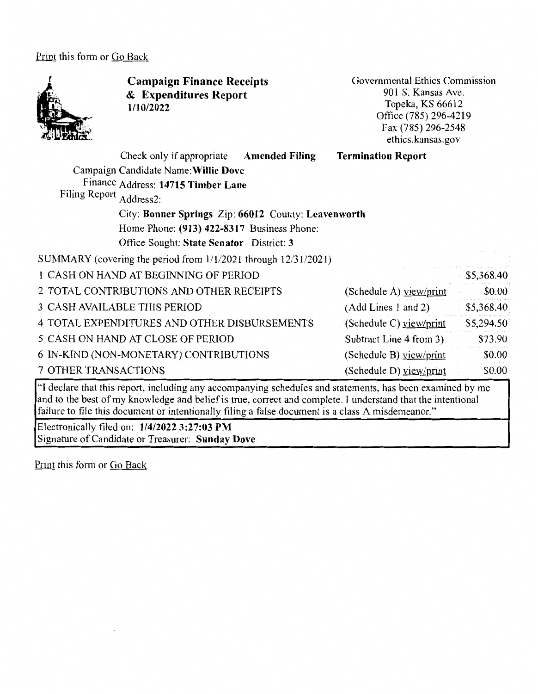Print this form or Go Back

Filing Report Address2:



**Campaign Finance Receipts**  & **Expenditures Report 1/10/2022** 

Governmental Ethics Commission 901 S. Kansas Ave. Topeka, KS 66612 Office (785) 296-4219 Fax(785)296-2548 ethics.kansas.gov

## Check only if appropriate **Amended Filing**  Campaign Candidate Name:Willie **Dove**  Finance Address: **14715 Timber Lane Termination Report**

City: **Bonner Springs** Zip: **66012** County: **Leavenworth**  Home Phone: **(913) 422-8317** Business Phone: Office Sought: **State Senator** District: **3** 

SUMMARY ( covering the period from 1/1/2021 through 12/31/2021)

| 1 CASH ON HAND AT BEGINNING OF PERIOD        |                         | \$5,368.40 |
|----------------------------------------------|-------------------------|------------|
| 2 TOTAL CONTRIBUTIONS AND OTHER RECEIPTS     | (Schedule A) view/print | \$0.00     |
| <b>3 CASH AVAILABLE THIS PERIOD</b>          | (Add Lines 1 and 2)     | \$5,368.40 |
| 4 TOTAL EXPENDITURES AND OTHER DISBURSEMENTS | (Schedule C) yiew/print | \$5,294.50 |
| 5 CASH ON HAND AT CLOSE OF PERIOD            | Subtract Line 4 from 3) | \$73.90    |
| 6 IN-KIND (NON-MONETARY) CONTRIBUTIONS       | (Schedule B) yiew/print | \$0.00     |
| 7 OTHER TRANSACTIONS                         | (Schedule D) yiew/print | \$0.00     |
|                                              |                         |            |

''I declare that this report, including any accompanying schedules and statements, has been examined by me and to the best of my knowledge and belief is true, correct and complete. I understand that the intentional failure to file this document or intentionally filing a false document is a class A misdemeanor."

Electronically filed on: **1/4/2022 3:27:03 PM**  Signature of Candidate or Treasurer: **Sunday Dove** 

Print this form or Go Back